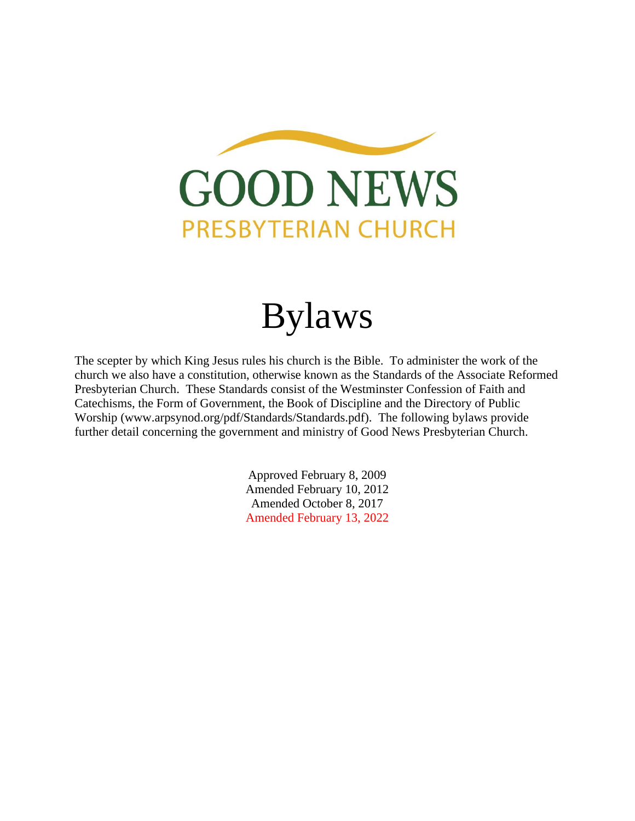

# Bylaws

The scepter by which King Jesus rules his church is the Bible. To administer the work of the church we also have a constitution, otherwise known as the Standards of the Associate Reformed Presbyterian Church. These Standards consist of the Westminster Confession of Faith and Catechisms, the Form of Government, the Book of Discipline and the Directory of Public Worship (www.arpsynod.org/pdf/Standards/Standards.pdf). The following bylaws provide further detail concerning the government and ministry of Good News Presbyterian Church.

> Approved February 8, 2009 Amended February 10, 2012 Amended October 8, 2017 Amended February 13, 2022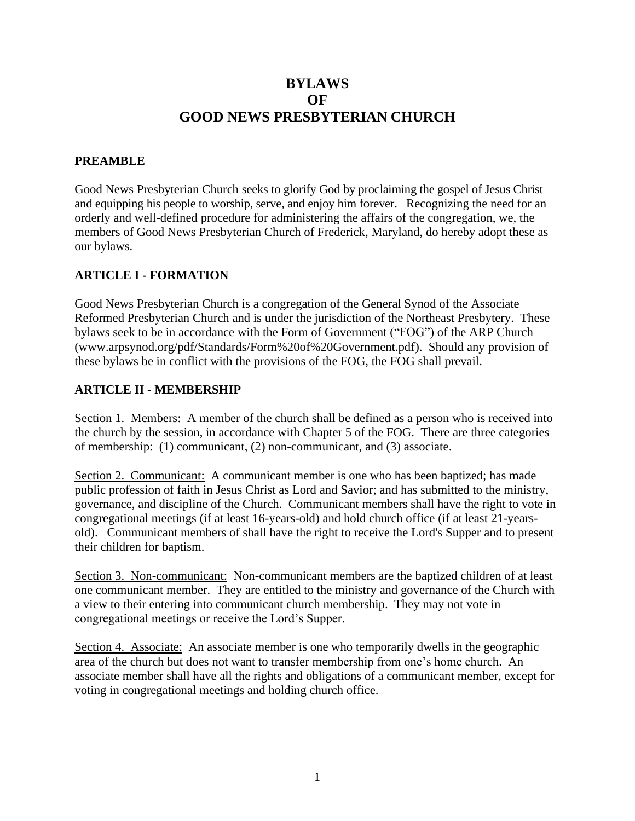# **BYLAWS OF GOOD NEWS PRESBYTERIAN CHURCH**

## **PREAMBLE**

Good News Presbyterian Church seeks to glorify God by proclaiming the gospel of Jesus Christ and equipping his people to worship, serve, and enjoy him forever. Recognizing the need for an orderly and well-defined procedure for administering the affairs of the congregation, we, the members of Good News Presbyterian Church of Frederick, Maryland, do hereby adopt these as our bylaws.

### **ARTICLE I - FORMATION**

Good News Presbyterian Church is a congregation of the General Synod of the Associate Reformed Presbyterian Church and is under the jurisdiction of the Northeast Presbytery. These bylaws seek to be in accordance with the Form of Government ("FOG") of the ARP Church (www.arpsynod.org/pdf/Standards/Form%20of%20Government.pdf). Should any provision of these bylaws be in conflict with the provisions of the FOG, the FOG shall prevail.

### **ARTICLE II - MEMBERSHIP**

Section 1. Members: A member of the church shall be defined as a person who is received into the church by the session, in accordance with Chapter 5 of the FOG. There are three categories of membership: (1) communicant, (2) non-communicant, and (3) associate.

Section 2. Communicant: A communicant member is one who has been baptized; has made public profession of faith in Jesus Christ as Lord and Savior; and has submitted to the ministry, governance, and discipline of the Church. Communicant members shall have the right to vote in congregational meetings (if at least 16-years-old) and hold church office (if at least 21-yearsold). Communicant members of shall have the right to receive the Lord's Supper and to present their children for baptism.

Section 3. Non-communicant: Non-communicant members are the baptized children of at least one communicant member. They are entitled to the ministry and governance of the Church with a view to their entering into communicant church membership. They may not vote in congregational meetings or receive the Lord's Supper.

Section 4. Associate: An associate member is one who temporarily dwells in the geographic area of the church but does not want to transfer membership from one's home church. An associate member shall have all the rights and obligations of a communicant member, except for voting in congregational meetings and holding church office.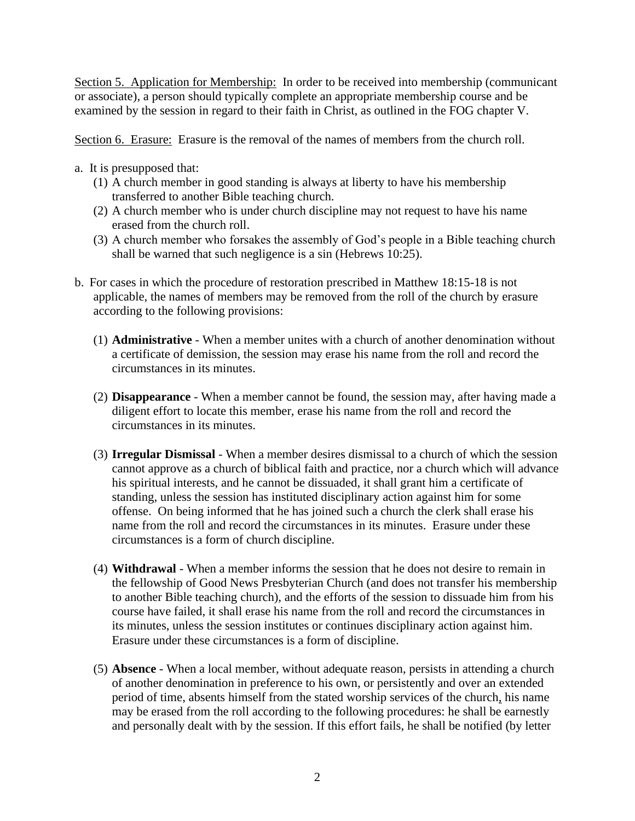Section 5. Application for Membership: In order to be received into membership (communicant or associate), a person should typically complete an appropriate membership course and be examined by the session in regard to their faith in Christ, as outlined in the FOG chapter V.

Section 6. Erasure: Erasure is the removal of the names of members from the church roll.

- a. It is presupposed that:
	- (1) A church member in good standing is always at liberty to have his membership transferred to another Bible teaching church.
	- (2) A church member who is under church discipline may not request to have his name erased from the church roll.
	- (3) A church member who forsakes the assembly of God's people in a Bible teaching church shall be warned that such negligence is a sin (Hebrews 10:25).
- b. For cases in which the procedure of restoration prescribed in Matthew 18:15-18 is not applicable, the names of members may be removed from the roll of the church by erasure according to the following provisions:
	- (1) **Administrative** When a member unites with a church of another denomination without a certificate of demission, the session may erase his name from the roll and record the circumstances in its minutes.
	- (2) **Disappearance** When a member cannot be found, the session may, after having made a diligent effort to locate this member, erase his name from the roll and record the circumstances in its minutes.
	- (3) **Irregular Dismissal** When a member desires dismissal to a church of which the session cannot approve as a church of biblical faith and practice, nor a church which will advance his spiritual interests, and he cannot be dissuaded, it shall grant him a certificate of standing, unless the session has instituted disciplinary action against him for some offense. On being informed that he has joined such a church the clerk shall erase his name from the roll and record the circumstances in its minutes. Erasure under these circumstances is a form of church discipline.
	- (4) **Withdrawal** When a member informs the session that he does not desire to remain in the fellowship of Good News Presbyterian Church (and does not transfer his membership to another Bible teaching church), and the efforts of the session to dissuade him from his course have failed, it shall erase his name from the roll and record the circumstances in its minutes, unless the session institutes or continues disciplinary action against him. Erasure under these circumstances is a form of discipline.
	- (5) **Absence** When a local member, without adequate reason, persists in attending a church of another denomination in preference to his own, or persistently and over an extended period of time, absents himself from the stated worship services of the church, his name may be erased from the roll according to the following procedures: he shall be earnestly and personally dealt with by the session. If this effort fails, he shall be notified (by letter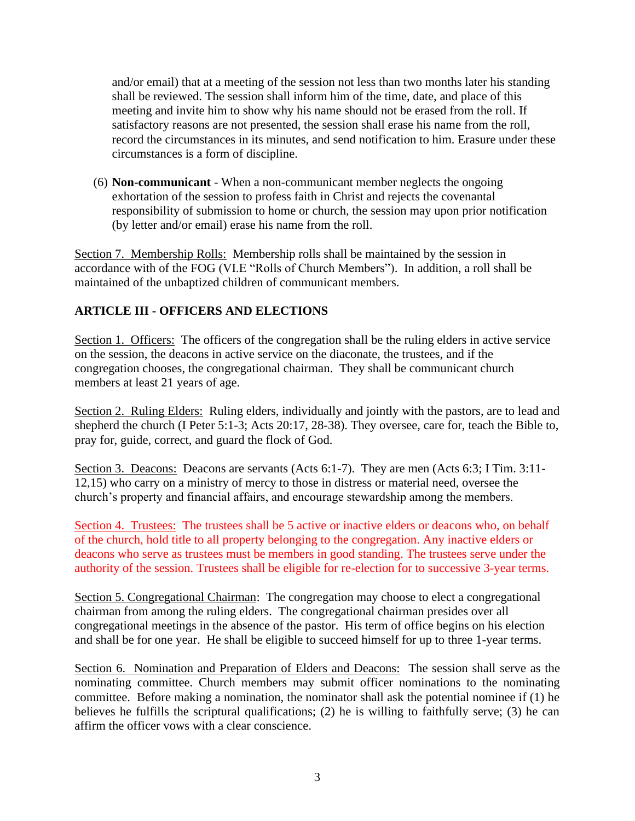and/or email) that at a meeting of the session not less than two months later his standing shall be reviewed. The session shall inform him of the time, date, and place of this meeting and invite him to show why his name should not be erased from the roll. If satisfactory reasons are not presented, the session shall erase his name from the roll, record the circumstances in its minutes, and send notification to him. Erasure under these circumstances is a form of discipline.

(6) **Non-communicant** - When a non-communicant member neglects the ongoing exhortation of the session to profess faith in Christ and rejects the covenantal responsibility of submission to home or church, the session may upon prior notification (by letter and/or email) erase his name from the roll.

Section 7. Membership Rolls: Membership rolls shall be maintained by the session in accordance with of the FOG (VI.E "Rolls of Church Members"). In addition, a roll shall be maintained of the unbaptized children of communicant members.

## **ARTICLE III - OFFICERS AND ELECTIONS**

Section 1. Officers: The officers of the congregation shall be the ruling elders in active service on the session, the deacons in active service on the diaconate, the trustees, and if the congregation chooses, the congregational chairman. They shall be communicant church members at least 21 years of age.

Section 2. Ruling Elders: Ruling elders, individually and jointly with the pastors, are to lead and shepherd the church (I Peter 5:1-3; Acts 20:17, 28-38). They oversee, care for, teach the Bible to, pray for, guide, correct, and guard the flock of God.

Section 3. Deacons: Deacons are servants (Acts 6:1-7). They are men (Acts 6:3; I Tim. 3:11-12,15) who carry on a ministry of mercy to those in distress or material need, oversee the church's property and financial affairs, and encourage stewardship among the members.

Section 4. Trustees: The trustees shall be 5 active or inactive elders or deacons who, on behalf of the church, hold title to all property belonging to the congregation. Any inactive elders or deacons who serve as trustees must be members in good standing. The trustees serve under the authority of the session. Trustees shall be eligible for re-election for to successive 3-year terms.

Section 5. Congregational Chairman: The congregation may choose to elect a congregational chairman from among the ruling elders. The congregational chairman presides over all congregational meetings in the absence of the pastor. His term of office begins on his election and shall be for one year. He shall be eligible to succeed himself for up to three 1-year terms.

Section 6. Nomination and Preparation of Elders and Deacons: The session shall serve as the nominating committee. Church members may submit officer nominations to the nominating committee. Before making a nomination, the nominator shall ask the potential nominee if (1) he believes he fulfills the scriptural qualifications; (2) he is willing to faithfully serve; (3) he can affirm the officer vows with a clear conscience.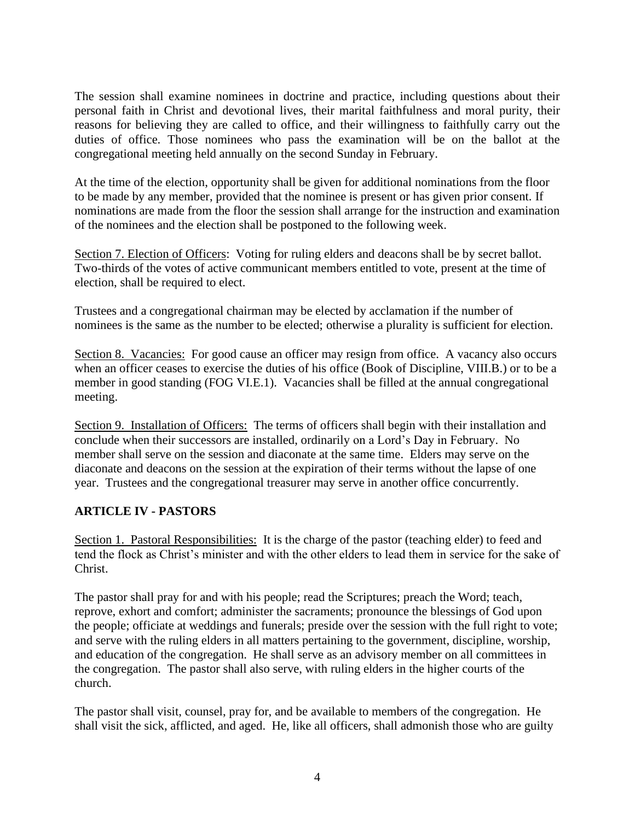The session shall examine nominees in doctrine and practice, including questions about their personal faith in Christ and devotional lives, their marital faithfulness and moral purity, their reasons for believing they are called to office, and their willingness to faithfully carry out the duties of office. Those nominees who pass the examination will be on the ballot at the congregational meeting held annually on the second Sunday in February.

At the time of the election, opportunity shall be given for additional nominations from the floor to be made by any member, provided that the nominee is present or has given prior consent. If nominations are made from the floor the session shall arrange for the instruction and examination of the nominees and the election shall be postponed to the following week.

Section 7. Election of Officers: Voting for ruling elders and deacons shall be by secret ballot. Two-thirds of the votes of active communicant members entitled to vote, present at the time of election, shall be required to elect.

Trustees and a congregational chairman may be elected by acclamation if the number of nominees is the same as the number to be elected; otherwise a plurality is sufficient for election.

Section 8. Vacancies: For good cause an officer may resign from office. A vacancy also occurs when an officer ceases to exercise the duties of his office (Book of Discipline, VIII.B.) or to be a member in good standing (FOG VI.E.1). Vacancies shall be filled at the annual congregational meeting.

Section 9. Installation of Officers: The terms of officers shall begin with their installation and conclude when their successors are installed, ordinarily on a Lord's Day in February. No member shall serve on the session and diaconate at the same time. Elders may serve on the diaconate and deacons on the session at the expiration of their terms without the lapse of one year. Trustees and the congregational treasurer may serve in another office concurrently.

## **ARTICLE IV - PASTORS**

Section 1. Pastoral Responsibilities: It is the charge of the pastor (teaching elder) to feed and tend the flock as Christ's minister and with the other elders to lead them in service for the sake of Christ.

The pastor shall pray for and with his people; read the Scriptures; preach the Word; teach, reprove, exhort and comfort; administer the sacraments; pronounce the blessings of God upon the people; officiate at weddings and funerals; preside over the session with the full right to vote; and serve with the ruling elders in all matters pertaining to the government, discipline, worship, and education of the congregation. He shall serve as an advisory member on all committees in the congregation. The pastor shall also serve, with ruling elders in the higher courts of the church.

The pastor shall visit, counsel, pray for, and be available to members of the congregation. He shall visit the sick, afflicted, and aged. He, like all officers, shall admonish those who are guilty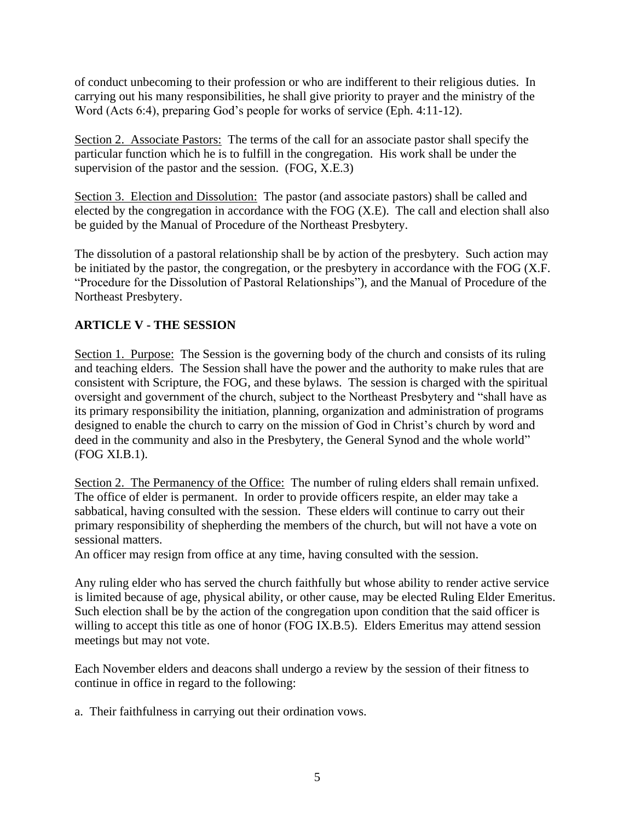of conduct unbecoming to their profession or who are indifferent to their religious duties. In carrying out his many responsibilities, he shall give priority to prayer and the ministry of the Word (Acts 6:4), preparing God's people for works of service (Eph. 4:11-12).

Section 2. Associate Pastors: The terms of the call for an associate pastor shall specify the particular function which he is to fulfill in the congregation. His work shall be under the supervision of the pastor and the session. (FOG, X.E.3)

Section 3. Election and Dissolution: The pastor (and associate pastors) shall be called and elected by the congregation in accordance with the FOG (X.E). The call and election shall also be guided by the Manual of Procedure of the Northeast Presbytery.

The dissolution of a pastoral relationship shall be by action of the presbytery. Such action may be initiated by the pastor, the congregation, or the presbytery in accordance with the FOG (X.F. "Procedure for the Dissolution of Pastoral Relationships"), and the Manual of Procedure of the Northeast Presbytery.

## **ARTICLE V - THE SESSION**

Section 1. Purpose: The Session is the governing body of the church and consists of its ruling and teaching elders. The Session shall have the power and the authority to make rules that are consistent with Scripture, the FOG, and these bylaws. The session is charged with the spiritual oversight and government of the church, subject to the Northeast Presbytery and "shall have as its primary responsibility the initiation, planning, organization and administration of programs designed to enable the church to carry on the mission of God in Christ's church by word and deed in the community and also in the Presbytery, the General Synod and the whole world" (FOG XI.B.1).

Section 2. The Permanency of the Office: The number of ruling elders shall remain unfixed. The office of elder is permanent. In order to provide officers respite, an elder may take a sabbatical, having consulted with the session. These elders will continue to carry out their primary responsibility of shepherding the members of the church, but will not have a vote on sessional matters.

An officer may resign from office at any time, having consulted with the session.

Any ruling elder who has served the church faithfully but whose ability to render active service is limited because of age, physical ability, or other cause, may be elected Ruling Elder Emeritus. Such election shall be by the action of the congregation upon condition that the said officer is willing to accept this title as one of honor (FOG IX.B.5). Elders Emeritus may attend session meetings but may not vote.

Each November elders and deacons shall undergo a review by the session of their fitness to continue in office in regard to the following:

a. Their faithfulness in carrying out their ordination vows.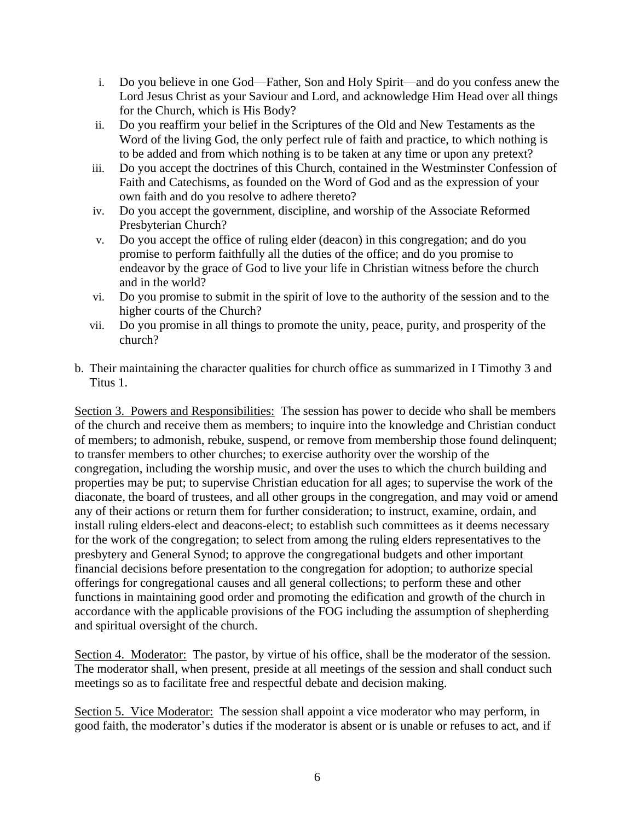- i. Do you believe in one God—Father, Son and Holy Spirit—and do you confess anew the Lord Jesus Christ as your Saviour and Lord, and acknowledge Him Head over all things for the Church, which is His Body?
- ii. Do you reaffirm your belief in the Scriptures of the Old and New Testaments as the Word of the living God, the only perfect rule of faith and practice, to which nothing is to be added and from which nothing is to be taken at any time or upon any pretext?
- iii. Do you accept the doctrines of this Church, contained in the Westminster Confession of Faith and Catechisms, as founded on the Word of God and as the expression of your own faith and do you resolve to adhere thereto?
- iv. Do you accept the government, discipline, and worship of the Associate Reformed Presbyterian Church?
- v. Do you accept the office of ruling elder (deacon) in this congregation; and do you promise to perform faithfully all the duties of the office; and do you promise to endeavor by the grace of God to live your life in Christian witness before the church and in the world?
- vi. Do you promise to submit in the spirit of love to the authority of the session and to the higher courts of the Church?
- vii. Do you promise in all things to promote the unity, peace, purity, and prosperity of the church?
- b. Their maintaining the character qualities for church office as summarized in I Timothy 3 and Titus 1.

Section 3. Powers and Responsibilities: The session has power to decide who shall be members of the church and receive them as members; to inquire into the knowledge and Christian conduct of members; to admonish, rebuke, suspend, or remove from membership those found delinquent; to transfer members to other churches; to exercise authority over the worship of the congregation, including the worship music, and over the uses to which the church building and properties may be put; to supervise Christian education for all ages; to supervise the work of the diaconate, the board of trustees, and all other groups in the congregation, and may void or amend any of their actions or return them for further consideration; to instruct, examine, ordain, and install ruling elders-elect and deacons-elect; to establish such committees as it deems necessary for the work of the congregation; to select from among the ruling elders representatives to the presbytery and General Synod; to approve the congregational budgets and other important financial decisions before presentation to the congregation for adoption; to authorize special offerings for congregational causes and all general collections; to perform these and other functions in maintaining good order and promoting the edification and growth of the church in accordance with the applicable provisions of the FOG including the assumption of shepherding and spiritual oversight of the church.

Section 4. Moderator: The pastor, by virtue of his office, shall be the moderator of the session. The moderator shall, when present, preside at all meetings of the session and shall conduct such meetings so as to facilitate free and respectful debate and decision making.

Section 5. Vice Moderator: The session shall appoint a vice moderator who may perform, in good faith, the moderator's duties if the moderator is absent or is unable or refuses to act, and if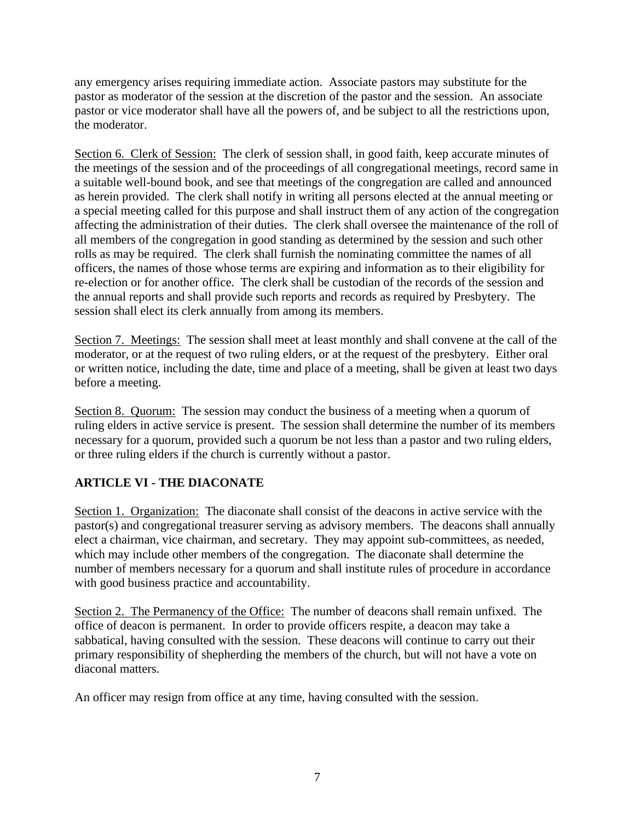any emergency arises requiring immediate action. Associate pastors may substitute for the pastor as moderator of the session at the discretion of the pastor and the session. An associate pastor or vice moderator shall have all the powers of, and be subject to all the restrictions upon, the moderator.

Section 6. Clerk of Session: The clerk of session shall, in good faith, keep accurate minutes of the meetings of the session and of the proceedings of all congregational meetings, record same in a suitable well-bound book, and see that meetings of the congregation are called and announced as herein provided. The clerk shall notify in writing all persons elected at the annual meeting or a special meeting called for this purpose and shall instruct them of any action of the congregation affecting the administration of their duties. The clerk shall oversee the maintenance of the roll of all members of the congregation in good standing as determined by the session and such other rolls as may be required. The clerk shall furnish the nominating committee the names of all officers, the names of those whose terms are expiring and information as to their eligibility for re-election or for another office. The clerk shall be custodian of the records of the session and the annual reports and shall provide such reports and records as required by Presbytery. The session shall elect its clerk annually from among its members.

Section 7. Meetings: The session shall meet at least monthly and shall convene at the call of the moderator, or at the request of two ruling elders, or at the request of the presbytery. Either oral or written notice, including the date, time and place of a meeting, shall be given at least two days before a meeting.

Section 8. Quorum: The session may conduct the business of a meeting when a quorum of ruling elders in active service is present. The session shall determine the number of its members necessary for a quorum, provided such a quorum be not less than a pastor and two ruling elders, or three ruling elders if the church is currently without a pastor.

# **ARTICLE VI - THE DIACONATE**

Section 1. Organization: The diaconate shall consist of the deacons in active service with the pastor(s) and congregational treasurer serving as advisory members. The deacons shall annually elect a chairman, vice chairman, and secretary. They may appoint sub-committees, as needed, which may include other members of the congregation. The diaconate shall determine the number of members necessary for a quorum and shall institute rules of procedure in accordance with good business practice and accountability.

Section 2. The Permanency of the Office: The number of deacons shall remain unfixed. The office of deacon is permanent. In order to provide officers respite, a deacon may take a sabbatical, having consulted with the session. These deacons will continue to carry out their primary responsibility of shepherding the members of the church, but will not have a vote on diaconal matters.

An officer may resign from office at any time, having consulted with the session.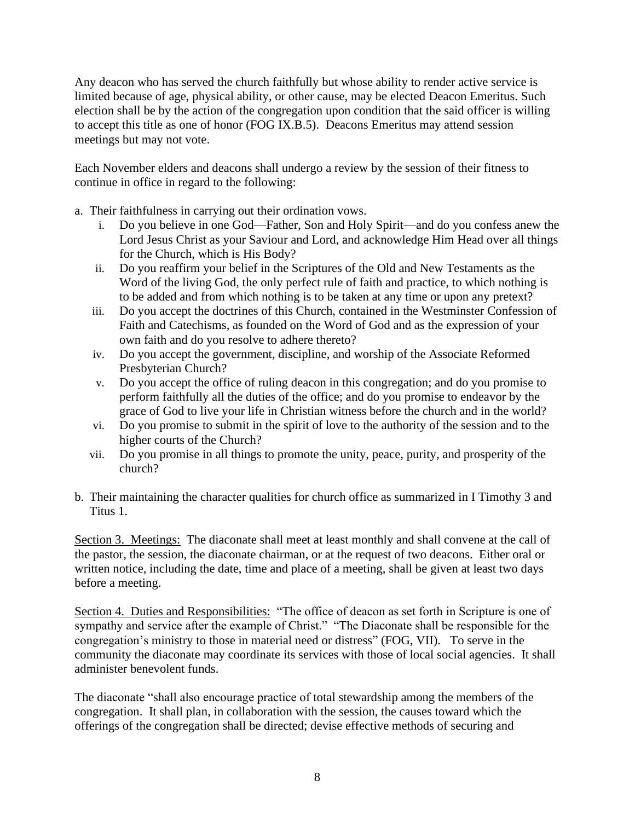Any deacon who has served the church faithfully but whose ability to render active service is limited because of age, physical ability, or other cause, may be elected Deacon Emeritus. Such election shall be by the action of the congregation upon condition that the said officer is willing to accept this title as one of honor (FOG IX.B.5). Deacons Emeritus may attend session meetings but may not vote.

Each November elders and deacons shall undergo a review by the session of their fitness to continue in office in regard to the following:

- a. Their faithfulness in carrying out their ordination vows.
	- i. Do you believe in one God—Father, Son and Holy Spirit—and do you confess anew the Lord Jesus Christ as your Saviour and Lord, and acknowledge Him Head over all things for the Church, which is His Body?
	- ii. Do you reaffirm your belief in the Scriptures of the Old and New Testaments as the Word of the living God, the only perfect rule of faith and practice, to which nothing is to be added and from which nothing is to be taken at any time or upon any pretext?
	- iii. Do you accept the doctrines of this Church, contained in the Westminster Confession of Faith and Catechisms, as founded on the Word of God and as the expression of your own faith and do you resolve to adhere thereto?
	- iv. Do you accept the government, discipline, and worship of the Associate Reformed Presbyterian Church?
	- v. Do you accept the office of ruling deacon in this congregation; and do you promise to perform faithfully all the duties of the office; and do you promise to endeavor by the grace of God to live your life in Christian witness before the church and in the world?
	- vi. Do you promise to submit in the spirit of love to the authority of the session and to the higher courts of the Church?
	- vii. Do you promise in all things to promote the unity, peace, purity, and prosperity of the church?
- b. Their maintaining the character qualities for church office as summarized in I Timothy 3 and Titus 1.

Section 3. Meetings: The diaconate shall meet at least monthly and shall convene at the call of the pastor, the session, the diaconate chairman, or at the request of two deacons. Either oral or written notice, including the date, time and place of a meeting, shall be given at least two days before a meeting.

Section 4. Duties and Responsibilities: "The office of deacon as set forth in Scripture is one of sympathy and service after the example of Christ." "The Diaconate shall be responsible for the congregation's ministry to those in material need or distress" (FOG, VII). To serve in the community the diaconate may coordinate its services with those of local social agencies. It shall administer benevolent funds.

The diaconate "shall also encourage practice of total stewardship among the members of the congregation. It shall plan, in collaboration with the session, the causes toward which the offerings of the congregation shall be directed; devise effective methods of securing and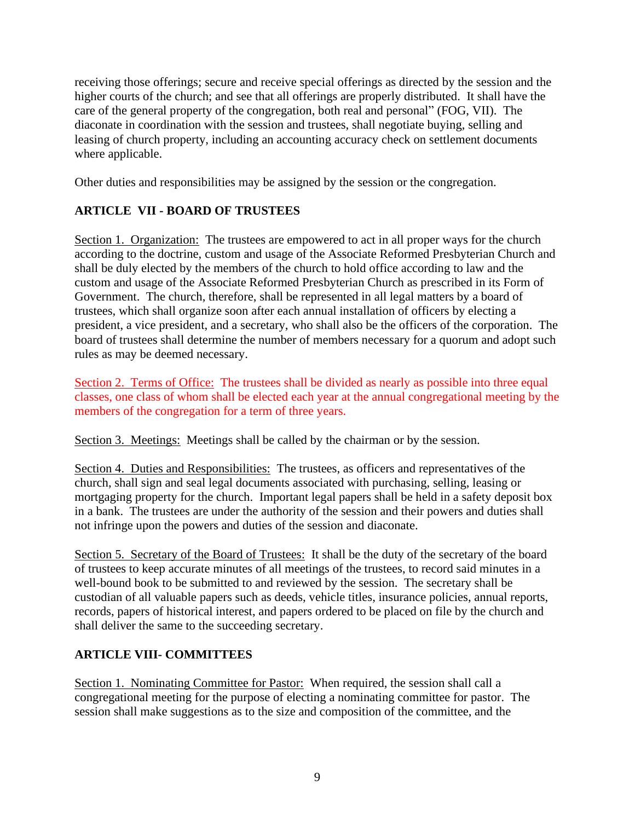receiving those offerings; secure and receive special offerings as directed by the session and the higher courts of the church; and see that all offerings are properly distributed. It shall have the care of the general property of the congregation, both real and personal" (FOG, VII). The diaconate in coordination with the session and trustees, shall negotiate buying, selling and leasing of church property, including an accounting accuracy check on settlement documents where applicable.

Other duties and responsibilities may be assigned by the session or the congregation.

# **ARTICLE VII - BOARD OF TRUSTEES**

Section 1. Organization: The trustees are empowered to act in all proper ways for the church according to the doctrine, custom and usage of the Associate Reformed Presbyterian Church and shall be duly elected by the members of the church to hold office according to law and the custom and usage of the Associate Reformed Presbyterian Church as prescribed in its Form of Government. The church, therefore, shall be represented in all legal matters by a board of trustees, which shall organize soon after each annual installation of officers by electing a president, a vice president, and a secretary, who shall also be the officers of the corporation. The board of trustees shall determine the number of members necessary for a quorum and adopt such rules as may be deemed necessary.

Section 2. Terms of Office: The trustees shall be divided as nearly as possible into three equal classes, one class of whom shall be elected each year at the annual congregational meeting by the members of the congregation for a term of three years.

Section 3. Meetings: Meetings shall be called by the chairman or by the session.

Section 4. Duties and Responsibilities: The trustees, as officers and representatives of the church, shall sign and seal legal documents associated with purchasing, selling, leasing or mortgaging property for the church. Important legal papers shall be held in a safety deposit box in a bank. The trustees are under the authority of the session and their powers and duties shall not infringe upon the powers and duties of the session and diaconate.

Section 5. Secretary of the Board of Trustees: It shall be the duty of the secretary of the board of trustees to keep accurate minutes of all meetings of the trustees, to record said minutes in a well-bound book to be submitted to and reviewed by the session. The secretary shall be custodian of all valuable papers such as deeds, vehicle titles, insurance policies, annual reports, records, papers of historical interest, and papers ordered to be placed on file by the church and shall deliver the same to the succeeding secretary.

# **ARTICLE VIII- COMMITTEES**

Section 1. Nominating Committee for Pastor: When required, the session shall call a congregational meeting for the purpose of electing a nominating committee for pastor. The session shall make suggestions as to the size and composition of the committee, and the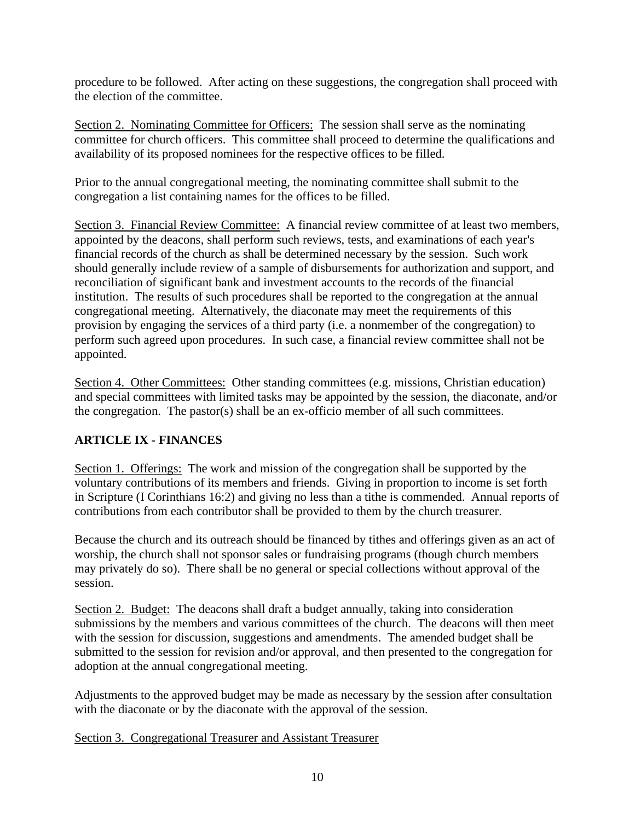procedure to be followed. After acting on these suggestions, the congregation shall proceed with the election of the committee.

Section 2. Nominating Committee for Officers: The session shall serve as the nominating committee for church officers. This committee shall proceed to determine the qualifications and availability of its proposed nominees for the respective offices to be filled.

Prior to the annual congregational meeting, the nominating committee shall submit to the congregation a list containing names for the offices to be filled.

Section 3. Financial Review Committee: A financial review committee of at least two members, appointed by the deacons, shall perform such reviews, tests, and examinations of each year's financial records of the church as shall be determined necessary by the session. Such work should generally include review of a sample of disbursements for authorization and support, and reconciliation of significant bank and investment accounts to the records of the financial institution. The results of such procedures shall be reported to the congregation at the annual congregational meeting. Alternatively, the diaconate may meet the requirements of this provision by engaging the services of a third party (i.e. a nonmember of the congregation) to perform such agreed upon procedures. In such case, a financial review committee shall not be appointed.

Section 4. Other Committees: Other standing committees (e.g. missions, Christian education) and special committees with limited tasks may be appointed by the session, the diaconate, and/or the congregation. The pastor(s) shall be an ex-officio member of all such committees.

# **ARTICLE IX - FINANCES**

Section 1. Offerings: The work and mission of the congregation shall be supported by the voluntary contributions of its members and friends. Giving in proportion to income is set forth in Scripture (I Corinthians 16:2) and giving no less than a tithe is commended. Annual reports of contributions from each contributor shall be provided to them by the church treasurer.

Because the church and its outreach should be financed by tithes and offerings given as an act of worship, the church shall not sponsor sales or fundraising programs (though church members may privately do so). There shall be no general or special collections without approval of the session.

Section 2. Budget: The deacons shall draft a budget annually, taking into consideration submissions by the members and various committees of the church. The deacons will then meet with the session for discussion, suggestions and amendments. The amended budget shall be submitted to the session for revision and/or approval, and then presented to the congregation for adoption at the annual congregational meeting.

Adjustments to the approved budget may be made as necessary by the session after consultation with the diaconate or by the diaconate with the approval of the session.

#### Section 3. Congregational Treasurer and Assistant Treasurer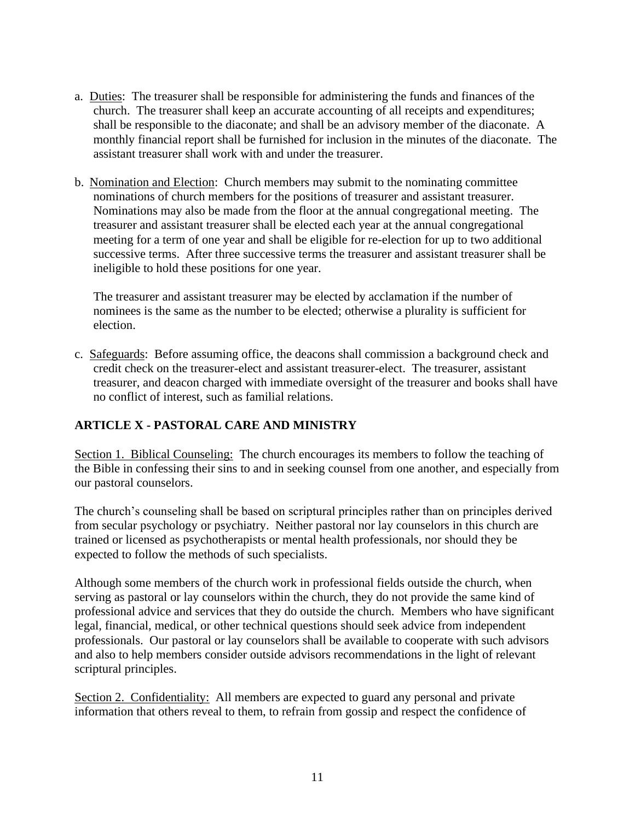- a. Duties: The treasurer shall be responsible for administering the funds and finances of the church. The treasurer shall keep an accurate accounting of all receipts and expenditures; shall be responsible to the diaconate; and shall be an advisory member of the diaconate. A monthly financial report shall be furnished for inclusion in the minutes of the diaconate. The assistant treasurer shall work with and under the treasurer.
- b. Nomination and Election: Church members may submit to the nominating committee nominations of church members for the positions of treasurer and assistant treasurer. Nominations may also be made from the floor at the annual congregational meeting. The treasurer and assistant treasurer shall be elected each year at the annual congregational meeting for a term of one year and shall be eligible for re-election for up to two additional successive terms. After three successive terms the treasurer and assistant treasurer shall be ineligible to hold these positions for one year.

The treasurer and assistant treasurer may be elected by acclamation if the number of nominees is the same as the number to be elected; otherwise a plurality is sufficient for election.

c. Safeguards: Before assuming office, the deacons shall commission a background check and credit check on the treasurer-elect and assistant treasurer-elect. The treasurer, assistant treasurer, and deacon charged with immediate oversight of the treasurer and books shall have no conflict of interest, such as familial relations.

# **ARTICLE X - PASTORAL CARE AND MINISTRY**

Section 1. Biblical Counseling: The church encourages its members to follow the teaching of the Bible in confessing their sins to and in seeking counsel from one another, and especially from our pastoral counselors.

The church's counseling shall be based on scriptural principles rather than on principles derived from secular psychology or psychiatry. Neither pastoral nor lay counselors in this church are trained or licensed as psychotherapists or mental health professionals, nor should they be expected to follow the methods of such specialists.

Although some members of the church work in professional fields outside the church, when serving as pastoral or lay counselors within the church, they do not provide the same kind of professional advice and services that they do outside the church. Members who have significant legal, financial, medical, or other technical questions should seek advice from independent professionals. Our pastoral or lay counselors shall be available to cooperate with such advisors and also to help members consider outside advisors recommendations in the light of relevant scriptural principles.

Section 2. Confidentiality: All members are expected to guard any personal and private information that others reveal to them, to refrain from gossip and respect the confidence of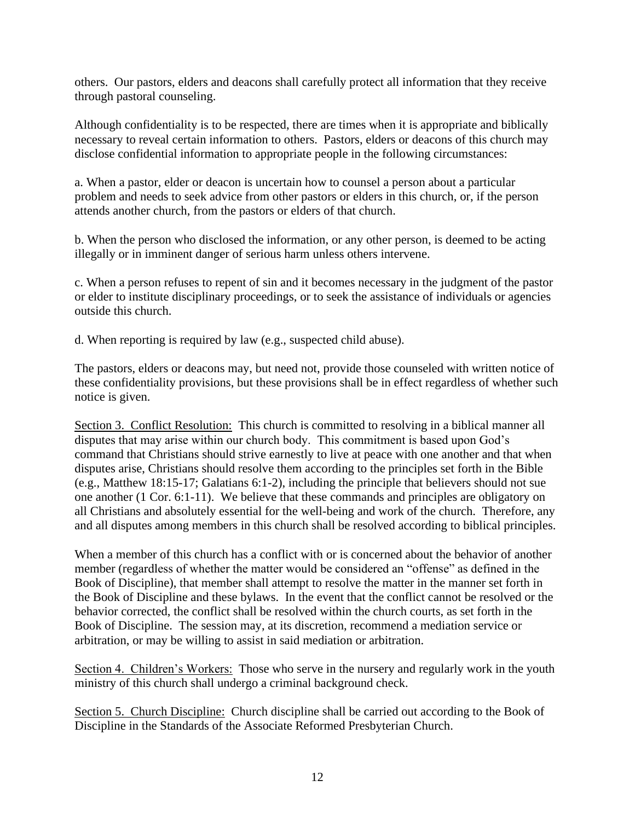others. Our pastors, elders and deacons shall carefully protect all information that they receive through pastoral counseling.

Although confidentiality is to be respected, there are times when it is appropriate and biblically necessary to reveal certain information to others. Pastors, elders or deacons of this church may disclose confidential information to appropriate people in the following circumstances:

a. When a pastor, elder or deacon is uncertain how to counsel a person about a particular problem and needs to seek advice from other pastors or elders in this church, or, if the person attends another church, from the pastors or elders of that church.

b. When the person who disclosed the information, or any other person, is deemed to be acting illegally or in imminent danger of serious harm unless others intervene.

c. When a person refuses to repent of sin and it becomes necessary in the judgment of the pastor or elder to institute disciplinary proceedings, or to seek the assistance of individuals or agencies outside this church.

d. When reporting is required by law (e.g., suspected child abuse).

The pastors, elders or deacons may, but need not, provide those counseled with written notice of these confidentiality provisions, but these provisions shall be in effect regardless of whether such notice is given.

Section 3. Conflict Resolution: This church is committed to resolving in a biblical manner all disputes that may arise within our church body. This commitment is based upon God's command that Christians should strive earnestly to live at peace with one another and that when disputes arise, Christians should resolve them according to the principles set forth in the Bible (e.g., Matthew 18:15-17; Galatians 6:1-2), including the principle that believers should not sue one another (1 Cor. 6:1-11). We believe that these commands and principles are obligatory on all Christians and absolutely essential for the well-being and work of the church. Therefore, any and all disputes among members in this church shall be resolved according to biblical principles.

When a member of this church has a conflict with or is concerned about the behavior of another member (regardless of whether the matter would be considered an "offense" as defined in the Book of Discipline), that member shall attempt to resolve the matter in the manner set forth in the Book of Discipline and these bylaws. In the event that the conflict cannot be resolved or the behavior corrected, the conflict shall be resolved within the church courts, as set forth in the Book of Discipline. The session may, at its discretion, recommend a mediation service or arbitration, or may be willing to assist in said mediation or arbitration.

Section 4. Children's Workers: Those who serve in the nursery and regularly work in the youth ministry of this church shall undergo a criminal background check.

Section 5. Church Discipline: Church discipline shall be carried out according to the Book of Discipline in the Standards of the Associate Reformed Presbyterian Church.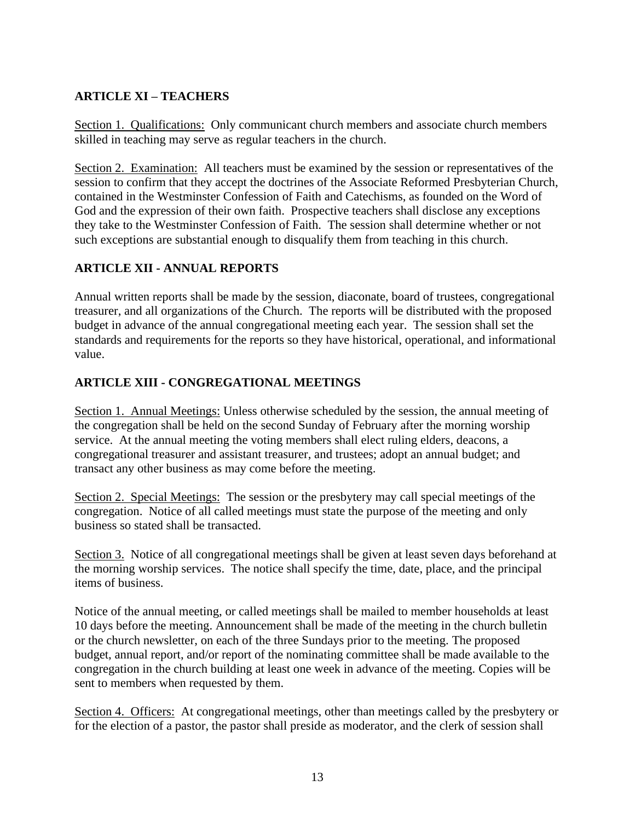# **ARTICLE XI – TEACHERS**

Section 1. Qualifications: Only communicant church members and associate church members skilled in teaching may serve as regular teachers in the church.

Section 2. Examination: All teachers must be examined by the session or representatives of the session to confirm that they accept the doctrines of the Associate Reformed Presbyterian Church, contained in the Westminster Confession of Faith and Catechisms, as founded on the Word of God and the expression of their own faith. Prospective teachers shall disclose any exceptions they take to the Westminster Confession of Faith. The session shall determine whether or not such exceptions are substantial enough to disqualify them from teaching in this church.

# **ARTICLE XII - ANNUAL REPORTS**

Annual written reports shall be made by the session, diaconate, board of trustees, congregational treasurer, and all organizations of the Church. The reports will be distributed with the proposed budget in advance of the annual congregational meeting each year. The session shall set the standards and requirements for the reports so they have historical, operational, and informational value.

## **ARTICLE XIII - CONGREGATIONAL MEETINGS**

Section 1. Annual Meetings: Unless otherwise scheduled by the session, the annual meeting of the congregation shall be held on the second Sunday of February after the morning worship service. At the annual meeting the voting members shall elect ruling elders, deacons, a congregational treasurer and assistant treasurer, and trustees; adopt an annual budget; and transact any other business as may come before the meeting.

Section 2. Special Meetings: The session or the presbytery may call special meetings of the congregation. Notice of all called meetings must state the purpose of the meeting and only business so stated shall be transacted.

Section 3. Notice of all congregational meetings shall be given at least seven days beforehand at the morning worship services. The notice shall specify the time, date, place, and the principal items of business.

Notice of the annual meeting, or called meetings shall be mailed to member households at least 10 days before the meeting. Announcement shall be made of the meeting in the church bulletin or the church newsletter, on each of the three Sundays prior to the meeting. The proposed budget, annual report, and/or report of the nominating committee shall be made available to the congregation in the church building at least one week in advance of the meeting. Copies will be sent to members when requested by them.

Section 4. Officers: At congregational meetings, other than meetings called by the presbytery or for the election of a pastor, the pastor shall preside as moderator, and the clerk of session shall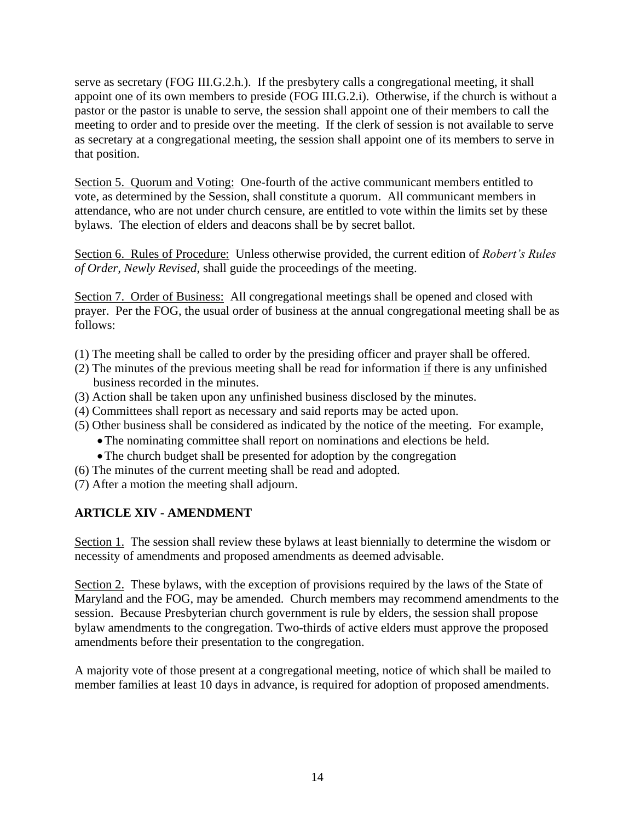serve as secretary (FOG III.G.2.h.). If the presbytery calls a congregational meeting, it shall appoint one of its own members to preside (FOG III.G.2.i). Otherwise, if the church is without a pastor or the pastor is unable to serve, the session shall appoint one of their members to call the meeting to order and to preside over the meeting. If the clerk of session is not available to serve as secretary at a congregational meeting, the session shall appoint one of its members to serve in that position.

Section 5. Quorum and Voting: One-fourth of the active communicant members entitled to vote, as determined by the Session, shall constitute a quorum. All communicant members in attendance, who are not under church censure, are entitled to vote within the limits set by these bylaws. The election of elders and deacons shall be by secret ballot.

Section 6. Rules of Procedure: Unless otherwise provided, the current edition of *Robert's Rules of Order, Newly Revised*, shall guide the proceedings of the meeting.

Section 7. Order of Business: All congregational meetings shall be opened and closed with prayer. Per the FOG, the usual order of business at the annual congregational meeting shall be as follows:

- (1) The meeting shall be called to order by the presiding officer and prayer shall be offered.
- (2) The minutes of the previous meeting shall be read for information if there is any unfinished business recorded in the minutes.
- (3) Action shall be taken upon any unfinished business disclosed by the minutes.
- (4) Committees shall report as necessary and said reports may be acted upon.
- (5) Other business shall be considered as indicated by the notice of the meeting. For example,
	- •The nominating committee shall report on nominations and elections be held.
	- The church budget shall be presented for adoption by the congregation
- (6) The minutes of the current meeting shall be read and adopted.
- (7) After a motion the meeting shall adjourn.

# **ARTICLE XIV - AMENDMENT**

Section 1. The session shall review these bylaws at least biennially to determine the wisdom or necessity of amendments and proposed amendments as deemed advisable.

Section 2. These bylaws, with the exception of provisions required by the laws of the State of Maryland and the FOG, may be amended. Church members may recommend amendments to the session. Because Presbyterian church government is rule by elders, the session shall propose bylaw amendments to the congregation. Two-thirds of active elders must approve the proposed amendments before their presentation to the congregation.

A majority vote of those present at a congregational meeting, notice of which shall be mailed to member families at least 10 days in advance, is required for adoption of proposed amendments.